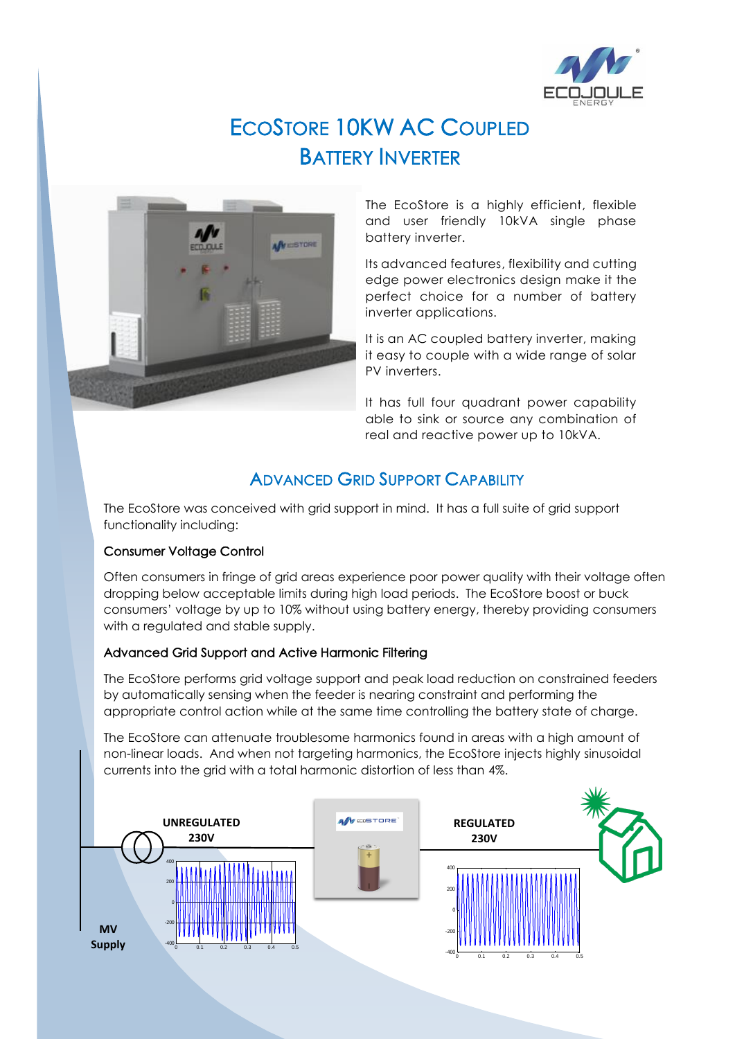

# ECOSTORE 10KW AC COUPLED BATTERY INVERTER



The EcoStore is a highly efficient, flexible and user friendly 10kVA single phase battery inverter.

Its advanced features, flexibility and cutting edge power electronics design make it the perfect choice for a number of battery inverter applications.

It is an AC coupled battery inverter, making it easy to couple with a wide range of solar PV inverters.

It has full four quadrant power capability able to sink or source any combination of real and reactive power up to 10kVA.

# ADVANCED GRID SUPPORT CAPABILITY

The EcoStore was conceived with grid support in mind. It has a full suite of grid support functionality including:

### Consumer Voltage Control

Often consumers in fringe of grid areas experience poor power quality with their voltage often dropping below acceptable limits during high load periods. The EcoStore boost or buck consumers' voltage by up to 10% without using battery energy, thereby providing consumers with a regulated and stable supply.

### Advanced Grid Support and Active Harmonic Filtering

The EcoStore performs grid voltage support and peak load reduction on constrained feeders by automatically sensing when the feeder is nearing constraint and performing the appropriate control action while at the same time controlling the battery state of charge.

The EcoStore can attenuate troublesome harmonics found in areas with a high amount of non-linear loads. And when not targeting harmonics, the EcoStore injects highly sinusoidal currents into the grid with a total harmonic distortion of less than 4%.

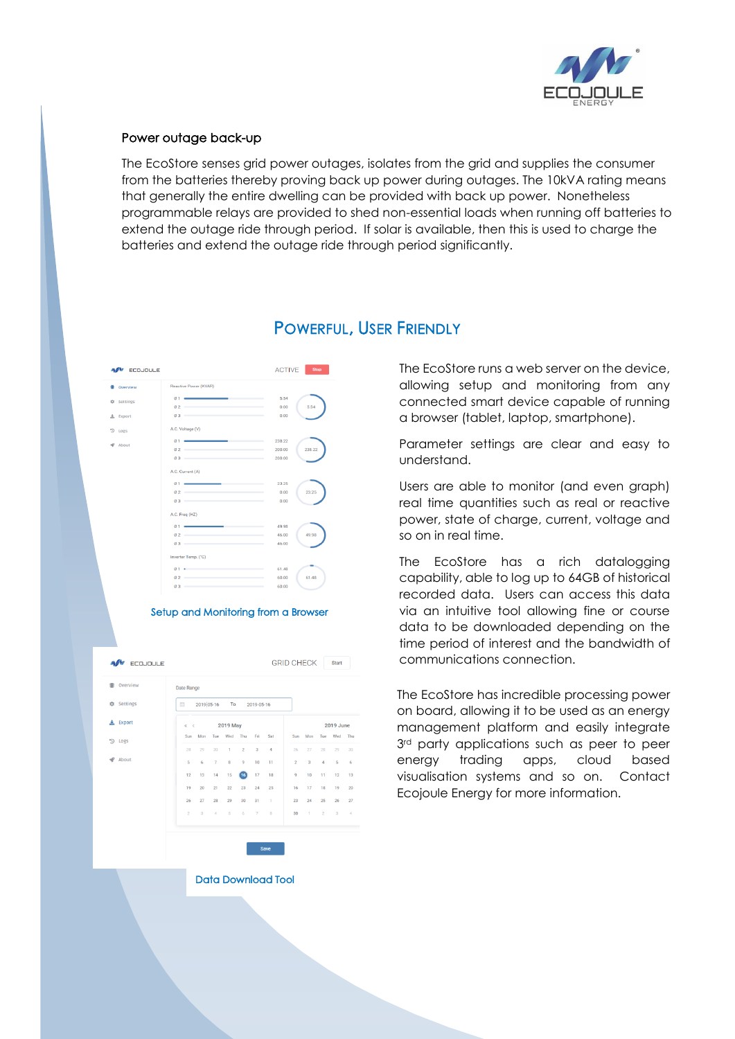

### Power outage back-up

The EcoStore senses grid power outages, isolates from the grid and supplies the consumer from the batteries thereby proving back up power during outages. The 10kVA rating means that generally the entire dwelling can be provided with back up power. Nonetheless programmable relays are provided to shed non-essential loads when running off batteries to extend the outage ride through period. If solar is available, then this is used to charge the batteries and extend the outage ride through period significantly.

| <b>ECOJOULE</b>   |                                                                                                                                                                                                                                                                                                                                                                                                                                                                                                                                                                                                                                                                   | <b>ACTIVE</b><br><b>Stop</b>         |
|-------------------|-------------------------------------------------------------------------------------------------------------------------------------------------------------------------------------------------------------------------------------------------------------------------------------------------------------------------------------------------------------------------------------------------------------------------------------------------------------------------------------------------------------------------------------------------------------------------------------------------------------------------------------------------------------------|--------------------------------------|
| Overview          | Reactive Power (KVAR)                                                                                                                                                                                                                                                                                                                                                                                                                                                                                                                                                                                                                                             |                                      |
| <b>C</b> Settings | $\circ$ 1 $\sim$ $\sim$ $\sim$ $\sim$ $\sim$ $\sim$<br>$\emptyset$ 2 and $\emptyset$ 2 and $\emptyset$ 3 and $\emptyset$ 3 and $\emptyset$ 3 and $\emptyset$ 3 and $\emptyset$ 3 and $\emptyset$ 3 and $\emptyset$ 3 and $\emptyset$ 3 and $\emptyset$ 3 and $\emptyset$ 3 and $\emptyset$ 3 and $\emptyset$ 3 and $\emptyset$ 3 and $\emptyset$ 3 and $\emptyset$ 3 and $\emptyset$ 3 and $\emptyset$                                                                                                                                                                                                                                                            | 5.54<br>5.54<br>0.00                 |
| <b>上</b> Export   | $\varnothing$ 3 and $\varnothing$ 3 and $\varnothing$ 3 and $\varnothing$ 3 and $\varnothing$ 3 and $\varnothing$ 3 and $\varnothing$ 3 and $\varnothing$ 3 and $\varnothing$ 3 and $\varnothing$ 3 and $\varnothing$ 3 and $\varnothing$ 3 and $\varnothing$ 3 and $\varnothing$ 3 and $\varnothing$ 3 and $\varnothing$ 3 and $\varnothing$ 3 and $\varnothing$ 3 and $\varnothing$                                                                                                                                                                                                                                                                             | 0.00                                 |
| D<br>Logs         | A.C. Voltage (V)                                                                                                                                                                                                                                                                                                                                                                                                                                                                                                                                                                                                                                                  |                                      |
| About             | $\emptyset$ 2 and $\emptyset$ 2 and $\emptyset$ 3 and $\emptyset$ 3 and $\emptyset$ 3 and $\emptyset$ 3 and $\emptyset$ 3 and $\emptyset$ 3 and $\emptyset$ 3 and $\emptyset$ 3 and $\emptyset$ 3 and $\emptyset$ 3 and $\emptyset$ 3 and $\emptyset$ 3 and $\emptyset$ 3 and $\emptyset$ 3 and $\emptyset$ 3 and $\emptyset$ 3 and $\emptyset$<br>$\boldsymbol{\theta}$ 3 and $\boldsymbol{\theta}$ and $\boldsymbol{\theta}$ and $\boldsymbol{\theta}$ and $\boldsymbol{\theta}$ and $\boldsymbol{\theta}$ and $\boldsymbol{\theta}$ and $\boldsymbol{\theta}$                                                                                                  | 238.22<br>238.22<br>200.00<br>200.00 |
|                   | A.C. Current (A)                                                                                                                                                                                                                                                                                                                                                                                                                                                                                                                                                                                                                                                  |                                      |
|                   | 01<br>$\mathfrak{A}$ 2 and $\mathfrak{A}$ and $\mathfrak{A}$ and $\mathfrak{A}$ and $\mathfrak{A}$ and $\mathfrak{A}$ and $\mathfrak{A}$ and $\mathfrak{A}$ and $\mathfrak{A}$ and $\mathfrak{A}$ and $\mathfrak{A}$ and $\mathfrak{A}$ and $\mathfrak{A}$ and $\mathfrak{A}$ and $\mathfrak{A}$ and $\mathfrak{A}$<br>$\sigma$ 3                                                                                                                                                                                                                                                                                                                                 | 23.25<br>23.25<br>0.00<br>0.00       |
|                   | A.C. Freq (HZ)                                                                                                                                                                                                                                                                                                                                                                                                                                                                                                                                                                                                                                                    |                                      |
|                   | <u> Andreas Andrew Andrew A</u><br>$Q_1$<br>________<br>$\mathfrak{g}_2$ and $\mathfrak{g}_3$ are the set of $\mathfrak{g}_4$ and $\mathfrak{g}_5$ are the set of $\mathfrak{g}_5$<br>$\boldsymbol{\varnothing}$ 3 and $\boldsymbol{\varnothing}$ 3 and $\boldsymbol{\varnothing}$ 3 and $\boldsymbol{\varnothing}$ 3 and $\boldsymbol{\varnothing}$ 3 and $\boldsymbol{\varnothing}$ 3 and $\boldsymbol{\varnothing}$ 3 and $\boldsymbol{\varnothing}$ 3 and $\boldsymbol{\varnothing}$ 3 and $\boldsymbol{\varnothing}$ 3 and $\boldsymbol{\varnothing}$ 3 and $\boldsymbol{\varnothing}$ 3 and $\boldsymbol{\varnothing}$ 3 and $\boldsymbol{\varnothing}$ 3 a | 49.98<br>49.98<br>46.00<br>46.00     |
|                   | Inverter Temp. (°C)                                                                                                                                                                                                                                                                                                                                                                                                                                                                                                                                                                                                                                               |                                      |
|                   | $01 -$<br>________                                                                                                                                                                                                                                                                                                                                                                                                                                                                                                                                                                                                                                                | 61.48                                |
|                   | $02 =$                                                                                                                                                                                                                                                                                                                                                                                                                                                                                                                                                                                                                                                            | 61.48<br>60.00                       |

# POWERFUL, USER FRIENDLY

The EcoStore runs a web server on the device, allowing setup and monitoring from any connected smart device capable of running a browser (tablet, laptop, smartphone).

Parameter settings are clear and easy to understand.

Users are able to monitor (and even graph) real time quantities such as real or reactive power, state of charge, current, voltage and so on in real time.

The EcoStore has a rich datalogging capability, able to log up to 64GB of historical recorded data. Users can access this data via an intuitive tool allowing fine or course data to be downloaded depending on the time period of interest and the bandwidth of communications connection.

The EcoStore has incredible processing power on board, allowing it to be used as an energy management platform and easily integrate  $3<sup>rd</sup>$  party applications such as peer to peer energy trading apps, cloud based visualisation systems and so on. Contact Ecojoule Energy for more information.



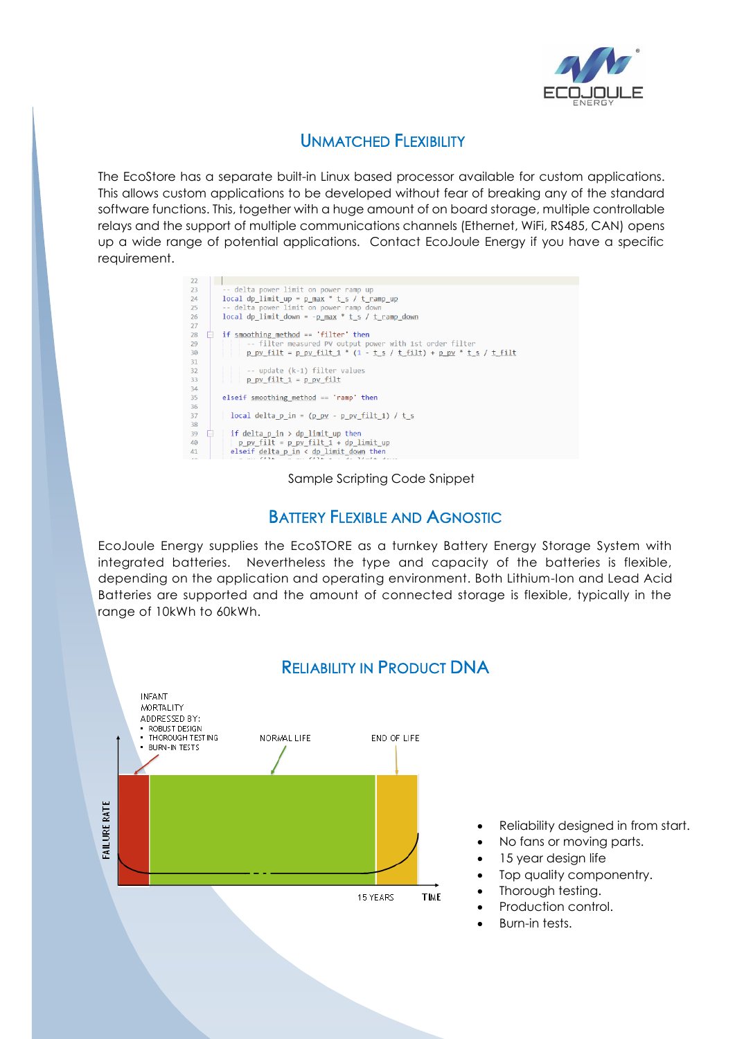

# UNMATCHED FLEXIBILITY

The EcoStore has a separate built-in Linux based processor available for custom applications. This allows custom applications to be developed without fear of breaking any of the standard software functions. This, together with a huge amount of on board storage, multiple controllable relays and the support of multiple communications channels (Ethernet, WiFi, RS485, CAN) opens up a wide range of potential applications. Contact EcoJoule Energy if you have a specific requirement.

| 22 |                                                                                                                                                                                                                                |
|----|--------------------------------------------------------------------------------------------------------------------------------------------------------------------------------------------------------------------------------|
| 23 | -- delta power limit on power ramp up                                                                                                                                                                                          |
| 24 | local dp limit up = $p$ max $*$ t s / t ramp up                                                                                                                                                                                |
| 25 | -- delta power limit on power ramp down                                                                                                                                                                                        |
| 26 | local dp limit down = $-p$ max $*$ t s / t ramp down                                                                                                                                                                           |
| 27 |                                                                                                                                                                                                                                |
| 28 | if smoothing method == $'$ filter' then                                                                                                                                                                                        |
| 29 | -- filter measured PV output power with 1st order filter                                                                                                                                                                       |
| 30 | p pv filt = p pv filt 1 * $(1 - t s / t$ filt) + p pv * t s / t filt                                                                                                                                                           |
| 31 |                                                                                                                                                                                                                                |
| 32 | -- update (k-1) filter values                                                                                                                                                                                                  |
| 33 | $p$ pv filt $1 = p$ pv filt                                                                                                                                                                                                    |
| 34 |                                                                                                                                                                                                                                |
| 35 | elseif smoothing method $==$ 'ramp' then                                                                                                                                                                                       |
| 36 |                                                                                                                                                                                                                                |
| 37 | local delta p in = $(p py - p py fill 1) / t s$                                                                                                                                                                                |
| 38 |                                                                                                                                                                                                                                |
| 39 | if delta $p$ in $>$ dp limit up then                                                                                                                                                                                           |
| 40 | $p$ pv filt = $p$ pv filt $1 + dp$ limit up                                                                                                                                                                                    |
| 41 | elseif delta $p$ in $\left\langle$ dp limit down then                                                                                                                                                                          |
|    | the control of the state of the control of the state of the control of the control of the control of the control of the control of the control of the control of the control of the control of the control of the control of t |

#### Sample Scripting Code Snippet

### BATTERY FLEXIBLE AND AGNOSTIC

EcoJoule Energy supplies the EcoSTORE as a turnkey Battery Energy Storage System with integrated batteries. Nevertheless the type and capacity of the batteries is flexible, depending on the application and operating environment. Both Lithium-Ion and Lead Acid Batteries are supported and the amount of connected storage is flexible, typically in the range of 10kWh to 60kWh.